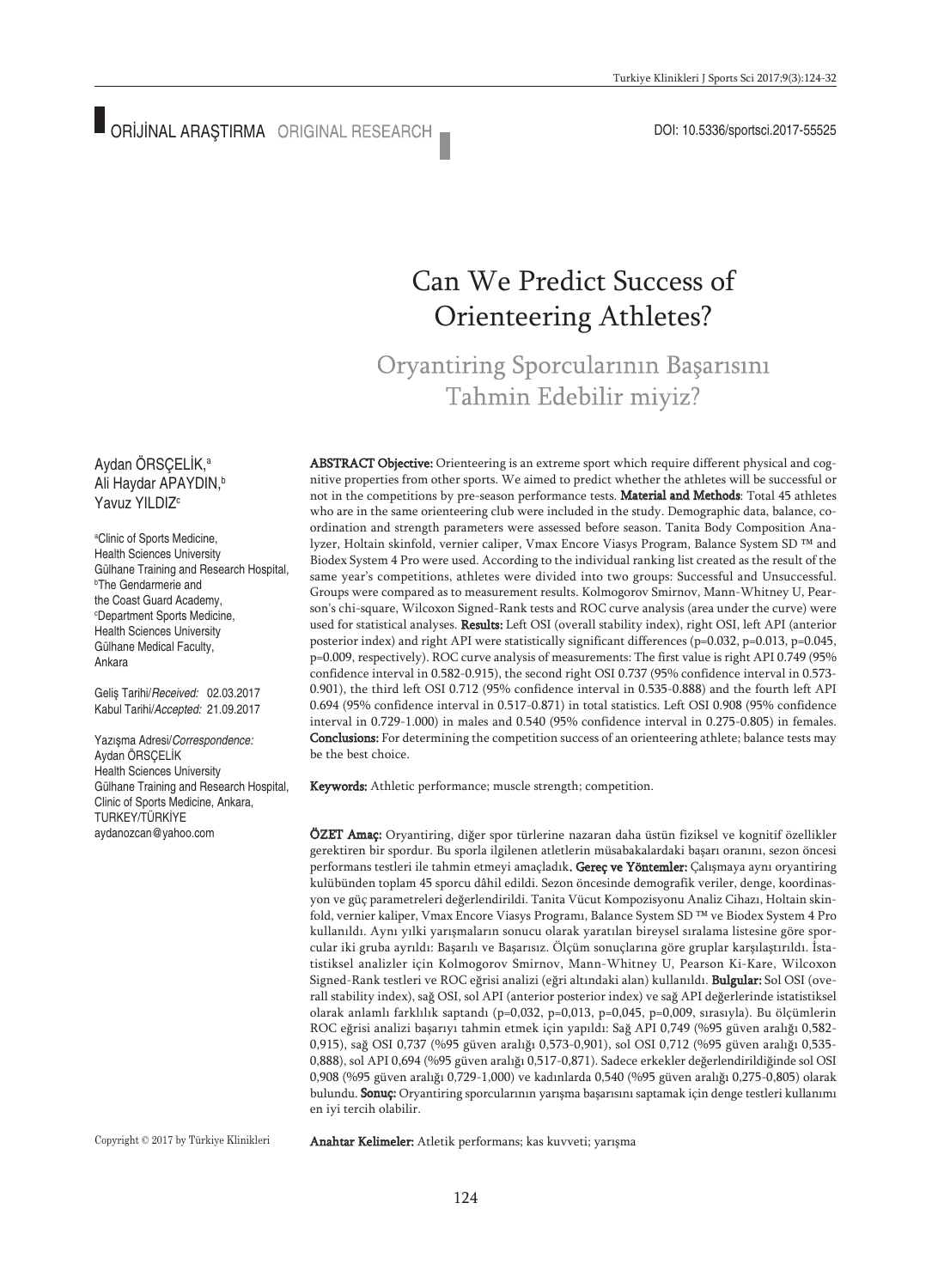# Can We Predict Success of Orienteering Athletes?

## Oryantiring Sporcularının Başarısını Tahmin Edebilir miyiz?

ABSTRACT Objective: Orienteering is an extreme sport which require different physical and cognitive properties from other sports. We aimed to predict whether the athletes will be successful or not in the competitions by pre-season performance tests. Material and Methods: Total 45 athletes who are in the same orienteering club were included in the study. Demographic data, balance, coordination and strength parameters were assessed before season. Tanita Body Composition Analyzer, Holtain skinfold, vernier caliper, Vmax Encore Viasys Program, Balance System SD ™ and Biodex System 4 Pro were used. According to the individual ranking list created as the result of the same year's competitions, athletes were divided into two groups: Successful and Unsuccessful. Groups were compared as to measurement results. Kolmogorov Smirnov, Mann-Whitney U, Pearson's chi-square, Wilcoxon Signed-Rank tests and ROC curve analysis (area under the curve) were used for statistical analyses. Results: Left OSI (overall stability index), right OSI, left API (anterior posterior index) and right API were statistically significant differences (p=0.032, p=0.013, p=0.045, p=0.009, respectively). ROC curve analysis of measurements: The first value is right API 0.749 (95% confidence interval in 0.582-0.915), the second right OSI 0.737 (95% confidence interval in 0.573- 0.901), the third left OSI 0.712 (95% confidence interval in 0.535-0.888) and the fourth left API 0.694 (95% confidence interval in 0.517-0.871) in total statistics. Left OSI 0.908 (95% confidence interval in 0.729-1.000) in males and 0.540 (95% confidence interval in 0.275-0.805) in females. Conclusions: For determining the competition success of an orienteering athlete; balance tests may be the best choice.

Keywords: Athletic performance; muscle strength; competition.

ÖZET Amaç: Oryantiring, diğer spor türlerine nazaran daha üstün fiziksel ve kognitif özellikler gerektiren bir spordur. Bu sporla ilgilenen atletlerin müsabakalardaki başarı oranını, sezon öncesi performans testleri ile tahmin etmeyi amaçladık. Gereç ve Yöntemler: Çalışmaya aynı oryantiring kulübünden toplam 45 sporcu dâhil edildi. Sezon öncesinde demografik veriler, denge, koordinasyon ve güç parametreleri değerlendirildi. Tanita Vücut Kompozisyonu Analiz Cihazı, Holtain skinfold, vernier kaliper, Vmax Encore Viasys Programı, Balance System SD ™ ve Biodex System 4 Pro kullanıldı. Aynı yılki yarışmaların sonucu olarak yaratılan bireysel sıralama listesine göre sporcular iki gruba ayrıldı: Başarılı ve Başarısız. Ölçüm sonuçlarına göre gruplar karşılaştırıldı. İstatistiksel analizler için Kolmogorov Smirnov, Mann-Whitney U, Pearson Ki-Kare, Wilcoxon Signed-Rank testleri ve ROC eğrisi analizi (eğri altındaki alan) kullanıldı. Bulgular: Sol OSI (overall stability index), sağ OSI, sol API (anterior posterior index) ve sağ API değerlerinde istatistiksel olarak anlamlı farklılık saptandı (p=0,032, p=0,013, p=0,045, p=0,009, sırasıyla). Bu ölçümlerin ROC eğrisi analizi başarıyı tahmin etmek için yapıldı: Sağ API 0,749 (%95 güven aralığı 0,582- 0,915), sağ OSI 0,737 (%95 güven aralığı 0,573-0,901), sol OSI 0,712 (%95 güven aralığı 0,535- 0,888), sol API 0,694 (%95 güven aralığı 0,517-0,871). Sadece erkekler değerlendirildiğinde sol OSI 0,908 (%95 güven aralığı 0,729-1,000) ve kadınlarda 0,540 (%95 güven aralığı 0,275-0,805) olarak bulundu. Sonuç: Oryantiring sporcularının yarışma başarısını saptamak için denge testleri kullanımı en iyi tercih olabilir.

Copyright © 2017 by Türkiye Klinikleri

Anahtar Kelimeler: Atletik performans; kas kuvveti; yarışma

#### Aydan ÖRSÇELİK, a Ali Haydar APAYDIN, b Yavuz YILDIZ<sup>c</sup>

a Clinic of Sports Medicine, Health Sciences University Gülhane Training and Research Hospital, b The Gendarmerie and the Coast Guard Academy, c Department Sports Medicine, Health Sciences University Gülhane Medical Faculty, Ankara

Geliş Tarihi/*Received:* 02.03.2017 Kabul Tarihi/*Accepted:* 21.09.2017

Yazışma Adresi/*Correspondence:* Aydan ÖRSÇELİK Health Sciences University Gülhane Training and Research Hospital, Clinic of Sports Medicine, Ankara, TURKEY/TÜRKİYE aydanozcan@yahoo.com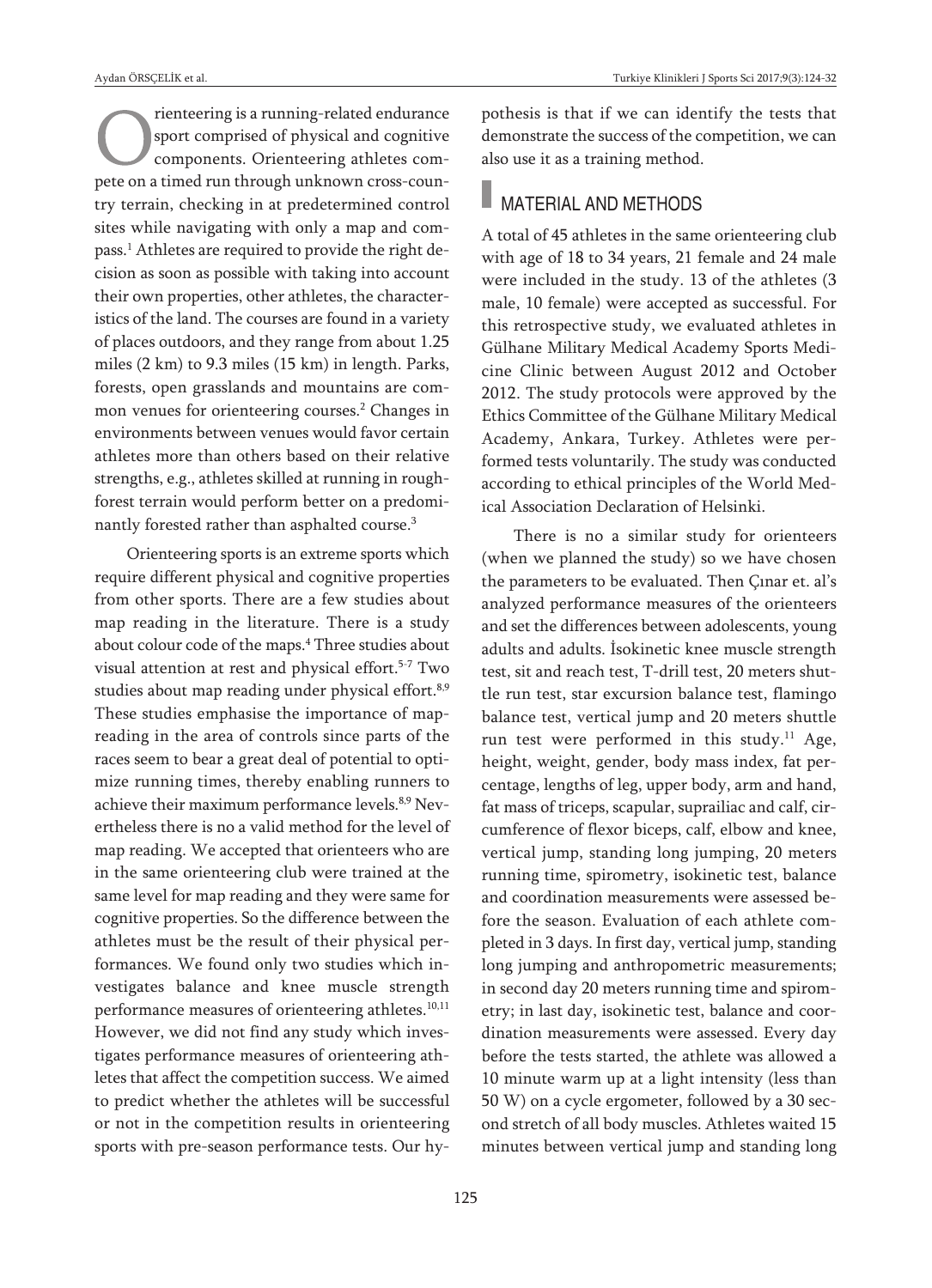rienteering is a running-related endurance sport comprised of physical and cognitive components. Orienteering athletes compete on a timed run through unknown cross-country terrain, checking in at predetermined control sites while navigating with only a map and compass. <sup>1</sup> Athletes are required to provide the right decision as soon as possible with taking into account their own properties, other athletes, the characteristics of the land. The courses are found in a variety of places outdoors, and they range from about 1.25 miles (2 km) to 9.3 miles (15 km) in length. Parks, forests, open grasslands and mountains are common venues for orienteering courses. <sup>2</sup> Changes in environments between venues would favor certain athletes more than others based on their relative strengths, e.g., athletes skilled at running in roughforest terrain would perform better on a predominantly forested rather than asphalted course. 3

Orienteering sports is an extreme sports which require different physical and cognitive properties from other sports. There are a few studies about map reading in the literature. There is a study about colour code of the maps. <sup>4</sup> Three studies about visual attention at rest and physical effort. 5-7 Two studies about map reading under physical effort.<sup>8,9</sup> These studies emphasise the importance of mapreading in the area of controls since parts of the races seem to bear a great deal of potential to optimize running times, thereby enabling runners to achieve their maximum performance levels.<sup>8,9</sup> Nevertheless there is no a valid method for the level of map reading. We accepted that orienteers who are in the same orienteering club were trained at the same level for map reading and they were same for cognitive properties. So the difference between the athletes must be the result of their physical performances. We found only two studies which investigates balance and knee muscle strength performance measures of orienteering athletes. 10,11 However, we did not find any study which investigates performance measures of orienteering athletes that affect the competition success. We aimed to predict whether the athletes will be successful or not in the competition results in orienteering sports with pre-season performance tests. Our hypothesis is that if we can identify the tests that demonstrate the success of the competition, we can also use it as a training method.

### MATERIAL AND METHODS

A total of 45 athletes in the same orienteering club with age of 18 to 34 years, 21 female and 24 male were included in the study. 13 of the athletes (3 male, 10 female) were accepted as successful. For this retrospective study, we evaluated athletes in Gülhane Military Medical Academy Sports Medicine Clinic between August 2012 and October 2012. The study protocols were approved by the Ethics Committee of the Gülhane Military Medical Academy, Ankara, Turkey. Athletes were performed tests voluntarily. The study was conducted according to ethical principles of the World Medical Association Declaration of Helsinki.

There is no a similar study for orienteers (when we planned the study) so we have chosen the parameters to be evaluated. Then Çınar et. al's analyzed performance measures of the orienteers and set the differences between adolescents, young adults and adults. İsokinetic knee muscle strength test, sit and reach test, T-drill test, 20 meters shuttle run test, star excursion balance test, flamingo balance test, vertical jump and 20 meters shuttle run test were performed in this study.<sup>11</sup> Age, height, weight, gender, body mass index, fat percentage, lengths of leg, upper body, arm and hand, fat mass of triceps, scapular, suprailiac and calf, circumference of flexor biceps, calf, elbow and knee, vertical jump, standing long jumping, 20 meters running time, spirometry, isokinetic test, balance and coordination measurements were assessed before the season. Evaluation of each athlete completed in 3 days. In first day, vertical jump, standing long jumping and anthropometric measurements; in second day 20 meters running time and spirometry; in last day, isokinetic test, balance and coordination measurements were assessed. Every day before the tests started, the athlete was allowed a 10 minute warm up at a light intensity (less than 50 W) on a cycle ergometer, followed by a 30 second stretch of all body muscles. Athletes waited 15 minutes between vertical jump and standing long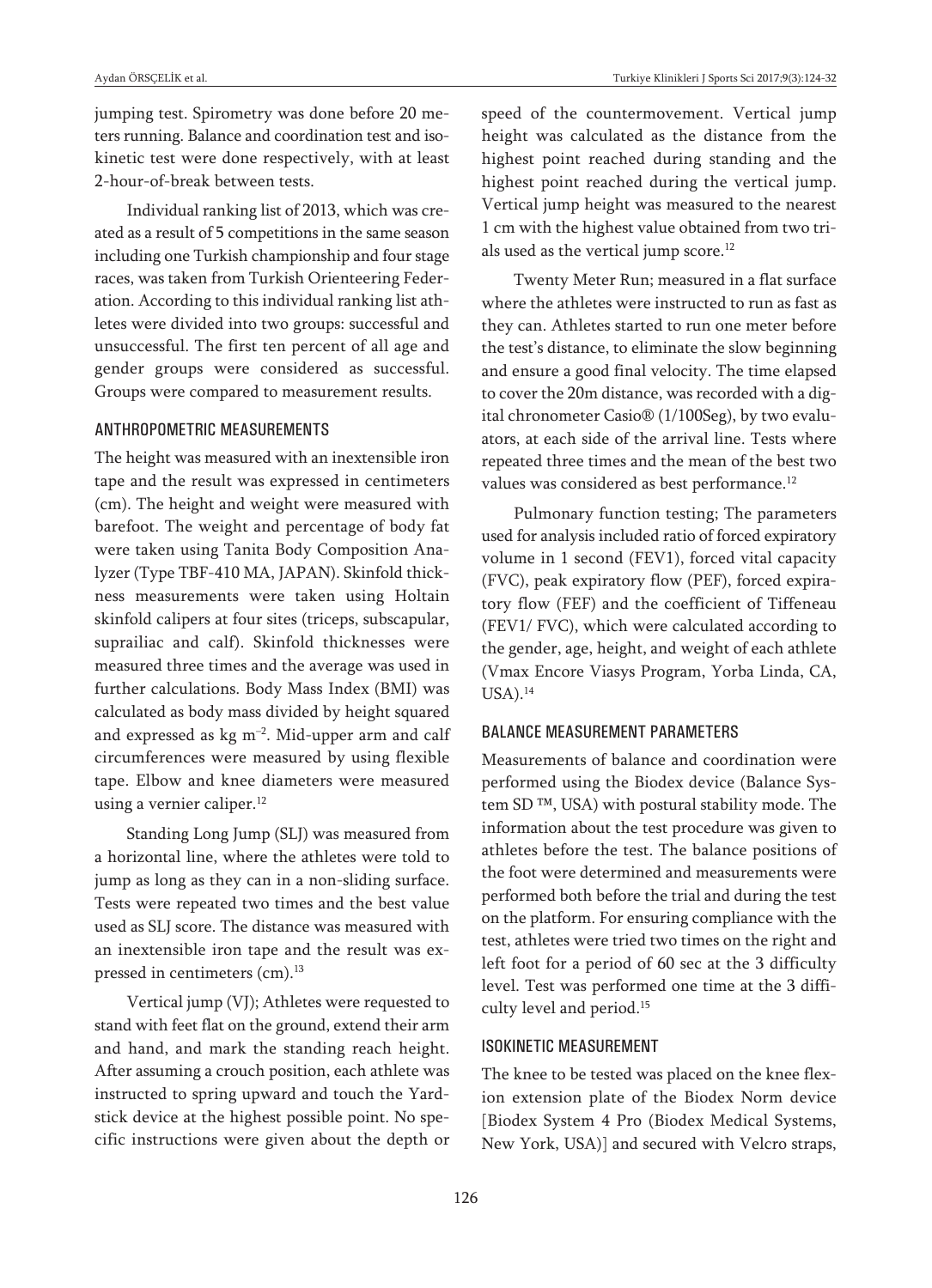jumping test. Spirometry was done before 20 meters running. Balance and coordination test and isokinetic test were done respectively, with at least 2-hour-of-break between tests.

Individual ranking list of 2013, which was created as a result of 5 competitions in the same season including one Turkish championship and four stage races, was taken from Turkish Orienteering Federation. According to this individual ranking list athletes were divided into two groups: successful and unsuccessful. The first ten percent of all age and gender groups were considered as successful. Groups were compared to measurement results.

#### ANTHROPOMETRIC MEASUREMENTS

The height was measured with an inextensible iron tape and the result was expressed in centimeters (cm). The height and weight were measured with barefoot. The weight and percentage of body fat were taken using Tanita Body Composition Analyzer (Type TBF-410 MA, JAPAN). Skinfold thickness measurements were taken using Holtain skinfold calipers at four sites (triceps, subscapular, suprailiac and calf). Skinfold thicknesses were measured three times and the average was used in further calculations. Body Mass Index (BMI) was calculated as body mass divided by height squared and expressed as  $\text{kg}$  m<sup>-2</sup>. Mid-upper arm and calf circumferences were measured by using flexible tape. Elbow and knee diameters were measured using a vernier caliper. 12

Standing Long Jump (SLJ) was measured from a horizontal line, where the athletes were told to jump as long as they can in a non-sliding surface. Tests were repeated two times and the best value used as SLJ score. The distance was measured with an inextensible iron tape and the result was expressed in centimeters (cm). 13

Vertical jump (VJ); Athletes were requested to stand with feet flat on the ground, extend their arm and hand, and mark the standing reach height. After assuming a crouch position, each athlete was instructed to spring upward and touch the Yardstick device at the highest possible point. No specific instructions were given about the depth or 1 cm with the highest value obtained from two tri-

als used as the vertical jump score. 12

Twenty Meter Run; measured in a flat surface where the athletes were instructed to run as fast as they can. Athletes started to run one meter before the test's distance, to eliminate the slow beginning and ensure a good final velocity. The time elapsed to cover the 20m distance, was recorded with a digital chronometer Casio® (1/100Seg), by two evaluators, at each side of the arrival line. Tests where repeated three times and the mean of the best two values was considered as best performance.<sup>12</sup>

Pulmonary function testing; The parameters used for analysis included ratio of forced expiratory volume in 1 second (FEV1), forced vital capacity (FVC), peak expiratory flow (PEF), forced expiratory flow (FEF) and the coefficient of Tiffeneau (FEV1/ FVC), which were calculated according to the gender, age, height, and weight of each athlete (Vmax Encore Viasys Program, Yorba Linda, CA, USA). 14

#### BALANCE MEASUREMENT PARAMETERS

Measurements of balance and coordination were performed using the Biodex device (Balance System SD<sup>™</sup>, USA) with postural stability mode. The information about the test procedure was given to athletes before the test. The balance positions of the foot were determined and measurements were performed both before the trial and during the test on the platform. For ensuring compliance with the test, athletes were tried two times on the right and left foot for a period of 60 sec at the 3 difficulty level. Test was performed one time at the 3 difficulty level and period. 15

#### ISOKINETIC MEASUREMENT

The knee to be tested was placed on the knee flexion extension plate of the Biodex Norm device [Biodex System 4 Pro (Biodex Medical Systems, New York, USA)] and secured with Velcro straps,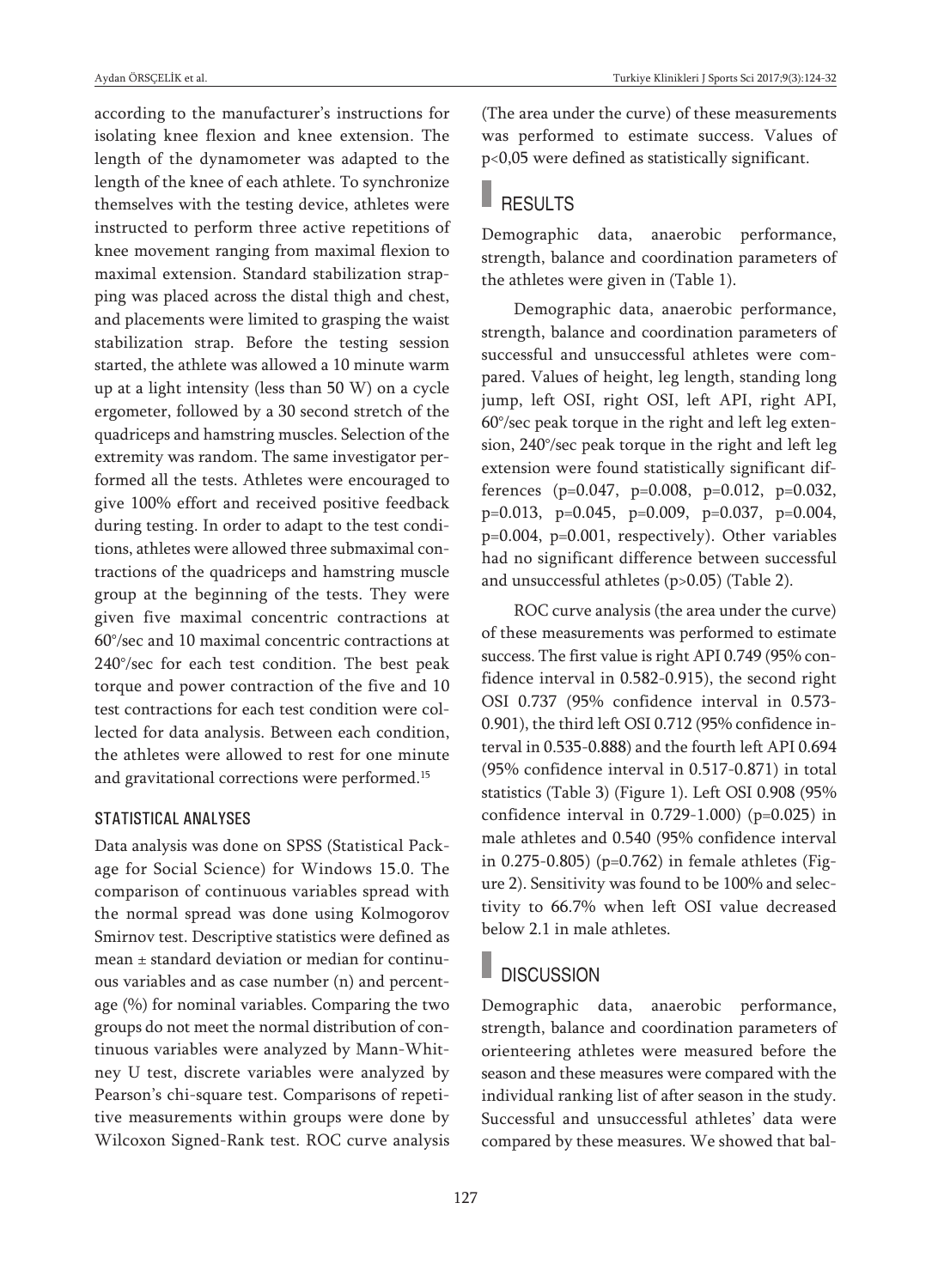according to the manufacturer's instructions for isolating knee flexion and knee extension. The length of the dynamometer was adapted to the length of the knee of each athlete. To synchronize themselves with the testing device, athletes were instructed to perform three active repetitions of knee movement ranging from maximal flexion to maximal extension. Standard stabilization strapping was placed across the distal thigh and chest, and placements were limited to grasping the waist stabilization strap. Before the testing session started, the athlete was allowed a 10 minute warm up at a light intensity (less than 50 W) on a cycle ergometer, followed by a 30 second stretch of the quadriceps and hamstring muscles. Selection of the extremity was random. The same investigator performed all the tests. Athletes were encouraged to give 100% effort and received positive feedback during testing. In order to adapt to the test conditions, athletes were allowed three submaximal contractions of the quadriceps and hamstring muscle group at the beginning of the tests. They were given five maximal concentric contractions at 60°/sec and 10 maximal concentric contractions at 240°/sec for each test condition. The best peak torque and power contraction of the five and 10 test contractions for each test condition were collected for data analysis. Between each condition, the athletes were allowed to rest for one minute and gravitational corrections were performed. 15

#### STATISTICAL ANALYSES

Data analysis was done on SPSS (Statistical Package for Social Science) for Windows 15.0. The comparison of continuous variables spread with the normal spread was done using Kolmogorov Smirnov test. Descriptive statistics were defined as mean ± standard deviation or median for continuous variables and as case number (n) and percentage (%) for nominal variables. Comparing the two groups do not meet the normal distribution of continuous variables were analyzed by Mann-Whitney U test, discrete variables were analyzed by Pearson's chi-square test. Comparisons of repetitive measurements within groups were done by Wilcoxon Signed-Rank test. ROC curve analysis

(The area under the curve) of these measurements was performed to estimate success. Values of p<0,05 were defined as statistically significant.

### RESULTS

Demographic data, anaerobic performance, strength, balance and coordination parameters of the athletes were given in (Table 1).

Demographic data, anaerobic performance, strength, balance and coordination parameters of successful and unsuccessful athletes were compared. Values of height, leg length, standing long jump, left OSI, right OSI, left API, right API, 60°/sec peak torque in the right and left leg extension, 240°/sec peak torque in the right and left leg extension were found statistically significant differences (p=0.047, p=0.008, p=0.012, p=0.032, p=0.013, p=0.045, p=0.009, p=0.037, p=0.004, p=0.004, p=0.001, respectively). Other variables had no significant difference between successful and unsuccessful athletes (p>0.05) (Table 2).

ROC curve analysis (the area under the curve) of these measurements was performed to estimate success. The first value is right API 0.749 (95% confidence interval in 0.582-0.915), the second right OSI 0.737 (95% confidence interval in 0.573- 0.901), the third left OSI 0.712 (95% confidence interval in 0.535-0.888) and the fourth left API 0.694 (95% confidence interval in 0.517-0.871) in total statistics (Table 3) (Figure 1). Left OSI 0.908 (95% confidence interval in 0.729-1.000) (p=0.025) in male athletes and 0.540 (95% confidence interval in 0.275-0.805) (p=0.762) in female athletes (Figure 2). Sensitivity was found to be 100% and selectivity to 66.7% when left OSI value decreased below 2.1 in male athletes.

### **DISCUSSION**

Demographic data, anaerobic performance, strength, balance and coordination parameters of orienteering athletes were measured before the season and these measures were compared with the individual ranking list of after season in the study. Successful and unsuccessful athletes' data were compared by these measures. We showed that bal-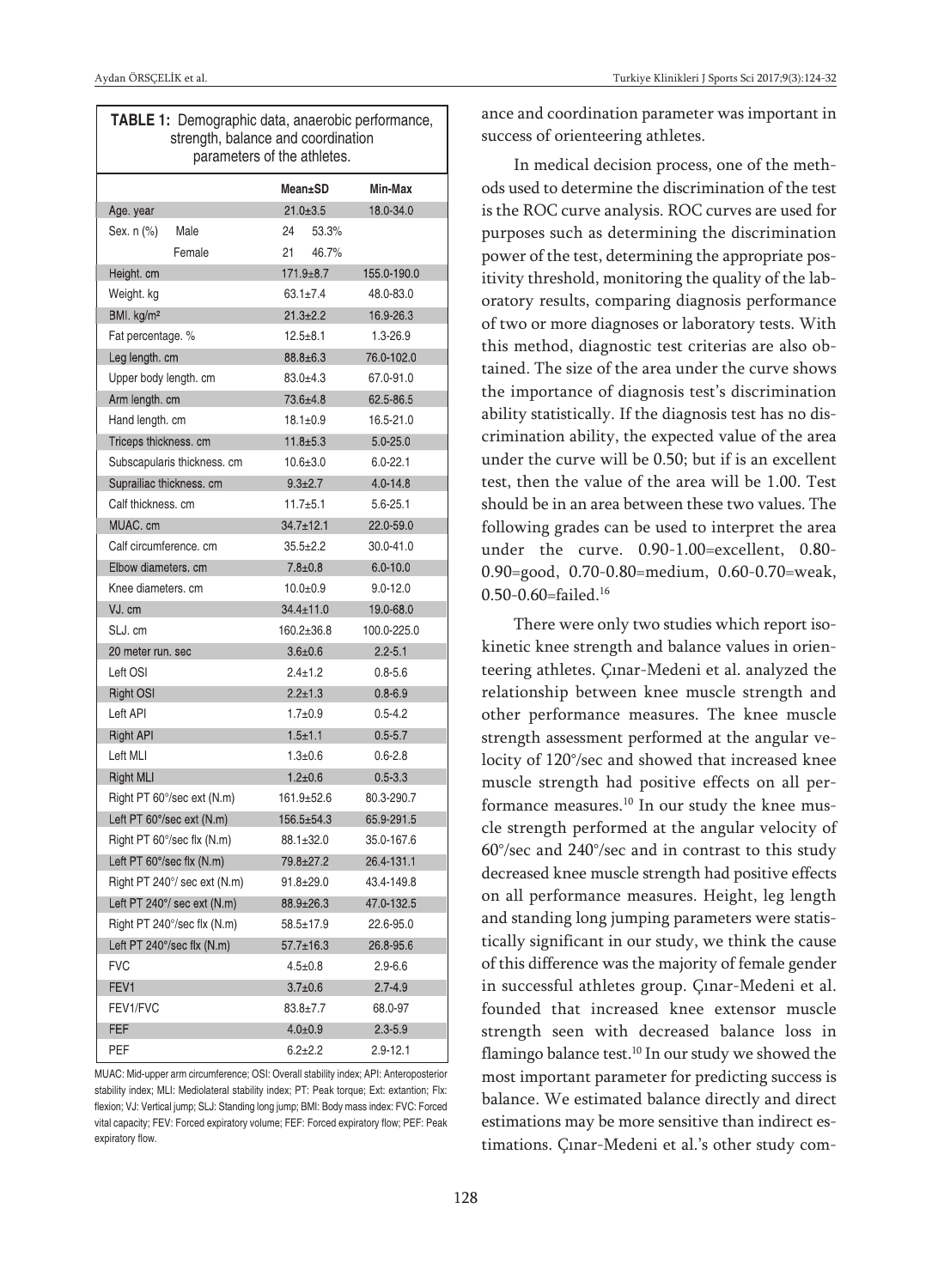| <b>TABLE 1:</b> Demographic data, anaerobic performance,<br>strength, balance and coordination<br>parameters of the athletes. |                  |               |  |  |
|-------------------------------------------------------------------------------------------------------------------------------|------------------|---------------|--|--|
|                                                                                                                               | Mean±SD          | Min-Max       |  |  |
| Age. year                                                                                                                     | $21.0 \pm 3.5$   | 18.0-34.0     |  |  |
| Male<br>Sex. n (%)                                                                                                            | 24<br>53.3%      |               |  |  |
| Female                                                                                                                        | 21<br>46.7%      |               |  |  |
| Height. cm                                                                                                                    | $171.9 \pm 8.7$  | 155.0-190.0   |  |  |
| Weight. kg                                                                                                                    | $63.1 \pm 7.4$   | 48.0-83.0     |  |  |
| BMI. kg/m <sup>2</sup>                                                                                                        | $21.3 \pm 2.2$   | 16.9-26.3     |  |  |
| Fat percentage. %                                                                                                             | $12.5 \pm 8.1$   | 1.3-26.9      |  |  |
| Leg length. cm                                                                                                                | $88.8 \pm 6.3$   | 76.0-102.0    |  |  |
| Upper body length. cm                                                                                                         | $83.0 + 4.3$     | 67.0-91.0     |  |  |
| Arm length. cm                                                                                                                | 73.6±4.8         | 62.5-86.5     |  |  |
| Hand length. cm                                                                                                               | $18.1 \pm 0.9$   | 16.5-21.0     |  |  |
| Triceps thickness. cm                                                                                                         | $11.8 + 5.3$     | $5.0 - 25.0$  |  |  |
| Subscapularis thickness. cm                                                                                                   | $10.6 \pm 3.0$   | $6.0 - 22.1$  |  |  |
| Suprailiac thickness. cm                                                                                                      | $9.3 + 2.7$      | $4.0 - 14.8$  |  |  |
| Calf thickness, cm                                                                                                            | $11.7 + 5.1$     | 5.6-25.1      |  |  |
| MUAC. cm                                                                                                                      | $34.7 \pm 12.1$  | 22.0-59.0     |  |  |
| Calf circumference, cm                                                                                                        | $35.5 \pm 2.2$   | $30.0 - 41.0$ |  |  |
| Elbow diameters, cm                                                                                                           | $7.8 + 0.8$      | $6.0 - 10.0$  |  |  |
| Knee diameters, cm                                                                                                            | $10.0 + 0.9$     | $9.0 - 12.0$  |  |  |
| VJ. cm                                                                                                                        | $34.4 \pm 11.0$  | 19.0-68.0     |  |  |
| SLJ. cm                                                                                                                       | 160.2±36.8       | 100.0-225.0   |  |  |
| 20 meter run. sec                                                                                                             | $3.6 + 0.6$      | $2.2 - 5.1$   |  |  |
| Left OSI                                                                                                                      | $2.4 \pm 1.2$    | $0.8 - 5.6$   |  |  |
| Right OSI                                                                                                                     | $2.2 \pm 1.3$    | $0.8 - 6.9$   |  |  |
| Left API                                                                                                                      | $1.7 + 0.9$      | $0.5 - 4.2$   |  |  |
| Right API                                                                                                                     | $1.5 + 1.1$      | $0.5 - 5.7$   |  |  |
| Left MLI                                                                                                                      | $1.3 \pm 0.6$    | $0.6 - 2.8$   |  |  |
| <b>Right MLI</b>                                                                                                              | $1.2 \pm 0.6$    | $0.5 - 3.3$   |  |  |
| Right PT 60°/sec ext (N.m)                                                                                                    | $161.9 \pm 52.6$ | 80.3-290.7    |  |  |
| Left PT 60°/sec ext (N.m)                                                                                                     | 156.5±54.3       | 65.9-291.5    |  |  |
| Right PT 60°/sec flx (N.m)                                                                                                    | 88.1±32.0        | 35.0-167.6    |  |  |
| Left PT 60°/sec flx (N.m)                                                                                                     | 79.8±27.2        | 26.4-131.1    |  |  |
| Right PT 240°/ sec ext (N.m)                                                                                                  | $91.8 \pm 29.0$  | 43.4-149.8    |  |  |
| Left PT 240°/ sec ext (N.m)                                                                                                   | $88.9 \pm 26.3$  | 47.0-132.5    |  |  |
| Right PT 240°/sec flx (N.m)                                                                                                   | 58.5±17.9        | 22.6-95.0     |  |  |
| Left PT 240°/sec flx (N.m)                                                                                                    | 57.7±16.3        | 26.8-95.6     |  |  |
| <b>FVC</b>                                                                                                                    | $4.5 \pm 0.8$    | 2.9-6.6       |  |  |
| FEV1                                                                                                                          | $3.7 \pm 0.6$    | $2.7 - 4.9$   |  |  |
| FEV1/FVC                                                                                                                      | $83.8 \pm 7.7$   | 68.0-97       |  |  |
| FEF                                                                                                                           | $4.0 + 0.9$      | $2.3 - 5.9$   |  |  |
| PEF                                                                                                                           | $6.2{\pm}2.2$    | 2.9-12.1      |  |  |

MUAC: Mid-upper arm circumference; OSI: Overall stability index; API: Anteroposterior stability index; MLI: Mediolateral stability index; PT: Peak torque; Ext: extantion; Flx: flexion; VJ: Vertical jump; SLJ: Standing long jump; BMI: Body mass index: FVC: Forced vital capacity; FEV: Forced expiratory volume; FEF: Forced expiratory flow; PEF: Peak expiratory flow.

ance and coordination parameter was important in success of orienteering athletes.

In medical decision process, one of the methods used to determine the discrimination of the test is the ROC curve analysis. ROC curves are used for purposes such as determining the discrimination power of the test, determining the appropriate positivity threshold, monitoring the quality of the laboratory results, comparing diagnosis performance of two or more diagnoses or laboratory tests. With this method, diagnostic test criterias are also obtained. The size of the area under the curve shows the importance of diagnosis test's discrimination ability statistically. If the diagnosis test has no discrimination ability, the expected value of the area under the curve will be 0.50; but if is an excellent test, then the value of the area will be 1.00. Test should be in an area between these two values. The following grades can be used to interpret the area under the curve. 0.90-1.00=excellent, 0.80- 0.90=good, 0.70-0.80=medium, 0.60-0.70=weak, 0.50-0.60=failed. 16

There were only two studies which report isokinetic knee strength and balance values in orienteering athletes. Çınar-Medeni et al. analyzed the relationship between knee muscle strength and other performance measures. The knee muscle strength assessment performed at the angular velocity of 120°/sec and showed that increased knee muscle strength had positive effects on all performance measures. <sup>10</sup> In our study the knee muscle strength performed at the angular velocity of 60°/sec and 240°/sec and in contrast to this study decreased knee muscle strength had positive effects on all performance measures. Height, leg length and standing long jumping parameters were statistically significant in our study, we think the cause of this difference was the majority of female gender in successful athletes group. Çınar-Medeni et al. founded that increased knee extensor muscle strength seen with decreased balance loss in flamingo balance test.<sup>10</sup> In our study we showed the most important parameter for predicting success is balance. We estimated balance directly and direct estimations may be more sensitive than indirect estimations. Çınar-Medeni et al.'s other study com-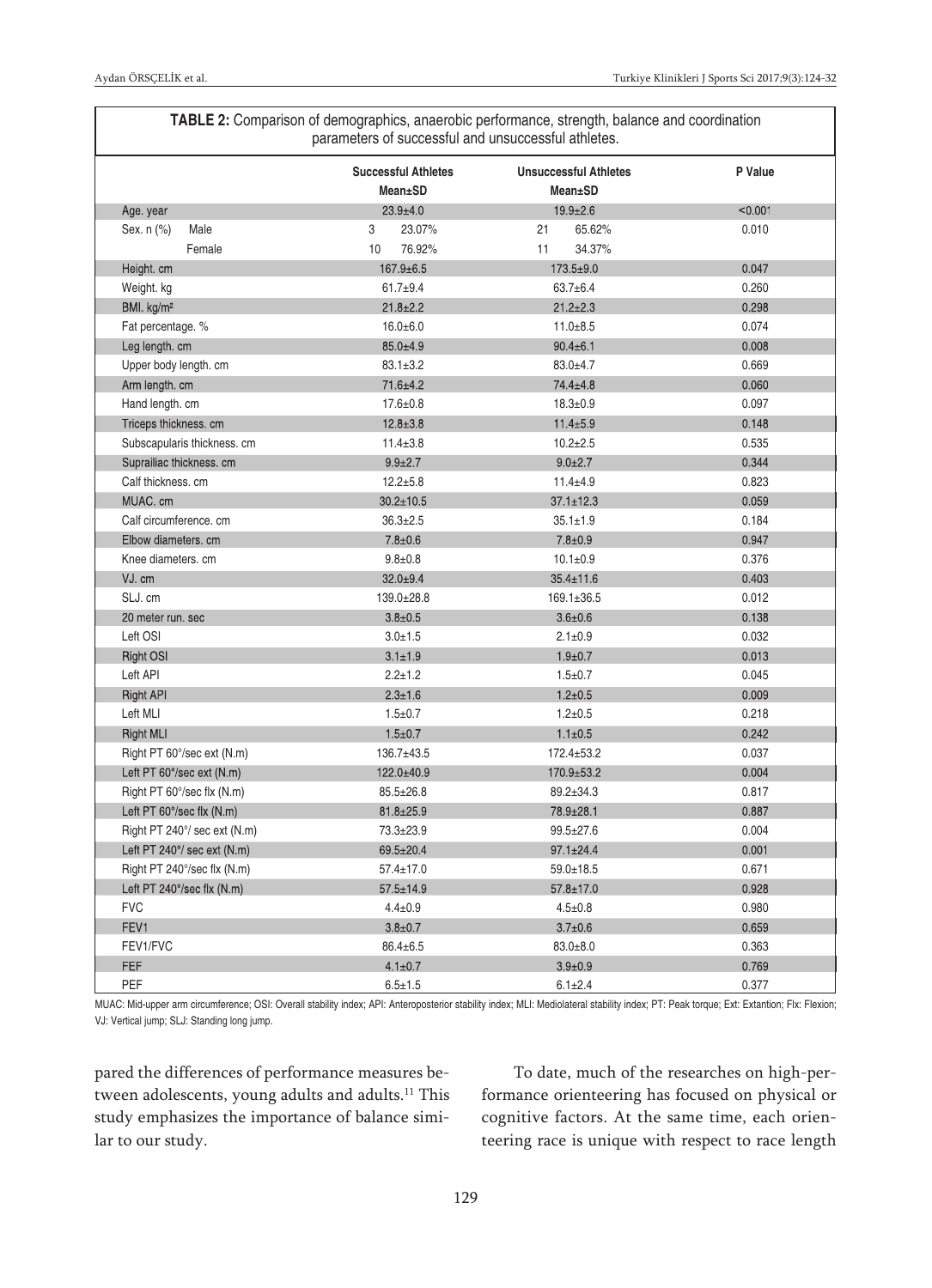|                              | <b>Successful Athletes</b><br>Mean±SD | <b>Unsuccessful Athletes</b><br><b>Mean±SD</b> | P Value |
|------------------------------|---------------------------------------|------------------------------------------------|---------|
| Age. year                    | $23.9 + 4.0$                          | $19.9 \pm 2.6$                                 | < 0.001 |
| Sex. n (%)<br>Male           | 3<br>23.07%                           | 21<br>65.62%                                   | 0.010   |
| Female                       | 10<br>76.92%                          | 11<br>34.37%                                   |         |
| Height. cm                   | 167.9±6.5                             | $173.5 \pm 9.0$                                | 0.047   |
| Weight. kg                   | $61.7 + 9.4$                          | $63.7 \pm 6.4$                                 | 0.260   |
| BMI. kg/m <sup>2</sup>       | $21.8 \pm 2.2$                        | $21.2 \pm 2.3$                                 | 0.298   |
| Fat percentage. %            | $16.0 \pm 6.0$                        | $11.0 + 8.5$                                   | 0.074   |
| Leg length. cm               | $85.0 \pm 4.9$                        | $90.4 \pm 6.1$                                 | 0.008   |
| Upper body length. cm        | $83.1 \pm 3.2$                        | $83.0 + 4.7$                                   | 0.669   |
| Arm length. cm               | 71.6±4.2                              | 74.4±4.8                                       | 0.060   |
| Hand length. cm              | $17.6 \pm 0.8$                        | $18.3 \pm 0.9$                                 | 0.097   |
| Triceps thickness. cm        | $12.8 \pm 3.8$                        | $11.4 \pm 5.9$                                 | 0.148   |
| Subscapularis thickness. cm  | $11.4 \pm 3.8$                        | $10.2 + 2.5$                                   | 0.535   |
| Suprailiac thickness. cm     | $9.9 \pm 2.7$                         | $9.0 \pm 2.7$                                  | 0.344   |
| Calf thickness. cm           | $12.2 \pm 5.8$                        | $11.4 + 4.9$                                   | 0.823   |
| MUAC. cm                     | $30.2 \pm 10.5$                       | $37.1 \pm 12.3$                                | 0.059   |
| Calf circumference, cm       | $36.3 \pm 2.5$                        | $35.1 \pm 1.9$                                 | 0.184   |
| Elbow diameters. cm          | $7.8 \pm 0.6$                         | $7.8 \pm 0.9$                                  | 0.947   |
| Knee diameters, cm           | $9.8 \pm 0.8$                         | $10.1 \pm 0.9$                                 | 0.376   |
| VJ. cm                       | $32.0 + 9.4$                          | $35.4 \pm 11.6$                                | 0.403   |
| SLJ. cm                      | 139.0±28.8                            | $169.1 \pm 36.5$                               | 0.012   |
| 20 meter run. sec            | $3.8 \pm 0.5$                         | $3.6 \pm 0.6$                                  | 0.138   |
| Left OSI                     | $3.0 \pm 1.5$                         | $2.1 \pm 0.9$                                  | 0.032   |
| <b>Right OSI</b>             | $3.1 \pm 1.9$                         | $1.9 + 0.7$                                    | 0.013   |
| Left API                     | $2.2 \pm 1.2$                         | $1.5 \pm 0.7$                                  | 0.045   |
| <b>Right API</b>             | $2.3 \pm 1.6$                         | $1.2 \pm 0.5$                                  | 0.009   |
| Left MLI                     | $1.5 \pm 0.7$                         | $1.2 + 0.5$                                    | 0.218   |
| <b>Right MLI</b>             | $1.5 \pm 0.7$                         | $1.1 \pm 0.5$                                  | 0.242   |
| Right PT 60°/sec ext (N.m)   | 136.7±43.5                            | $172.4 \pm 53.2$                               | 0.037   |
| Left PT 60°/sec ext (N.m)    | $122.0 \pm 40.9$                      | $170.9 \pm 53.2$                               | 0.004   |
| Right PT 60°/sec flx (N.m)   | $85.5 \pm 26.8$                       | 89.2±34.3                                      | 0.817   |
| Left PT 60°/sec flx (N.m)    | $81.8 \pm 25.9$                       | 78.9±28.1                                      | 0.887   |
| Right PT 240°/ sec ext (N.m) | 73.3±23.9                             | 99.5±27.6                                      | 0.004   |
| Left PT 240°/ sec ext (N.m)  | $69.5 \pm 20.4$                       | $97.1 \pm 24.4$                                | 0.001   |
| Right PT 240°/sec flx (N.m)  | 57.4±17.0                             | 59.0±18.5                                      | 0.671   |
| Left PT 240°/sec flx (N.m)   | $57.5 \pm 14.9$                       | $57.8 \pm 17.0$                                | 0.928   |
| <b>FVC</b>                   | $4.4 \pm 0.9$                         | $4.5 \pm 0.8$                                  | 0.980   |
| FEV1                         | $3.8 \pm 0.7$                         | $3.7 \pm 0.6$                                  | 0.659   |
| FEV1/FVC                     | $86.4 \pm 6.5$                        | $83.0 + 8.0$                                   | 0.363   |
| <b>FEF</b>                   | $4.1 \pm 0.7$                         | $3.9 + 0.9$                                    | 0.769   |
| PEF                          | $6.5 \pm 1.5$                         | $6.1 \pm 2.4$                                  | 0.377   |

**TABLE 2:** Comparison of demographics, anaerobic performance, strength, balance and coordination

MUAC: Mid-upper arm circumference; OSI: Overall stability index; API: Anteroposterior stability index; MLI: Mediolateral stability index; PT: Peak torque; Ext: Extantion; Flx: Flexion; VJ: Vertical jump; SLJ: Standing long jump.

pared the differences of performance measures between adolescents, young adults and adults.<sup>11</sup> This study emphasizes the importance of balance similar to our study.

To date, much of the researches on high-performance orienteering has focused on physical or cognitive factors. At the same time, each orienteering race is unique with respect to race length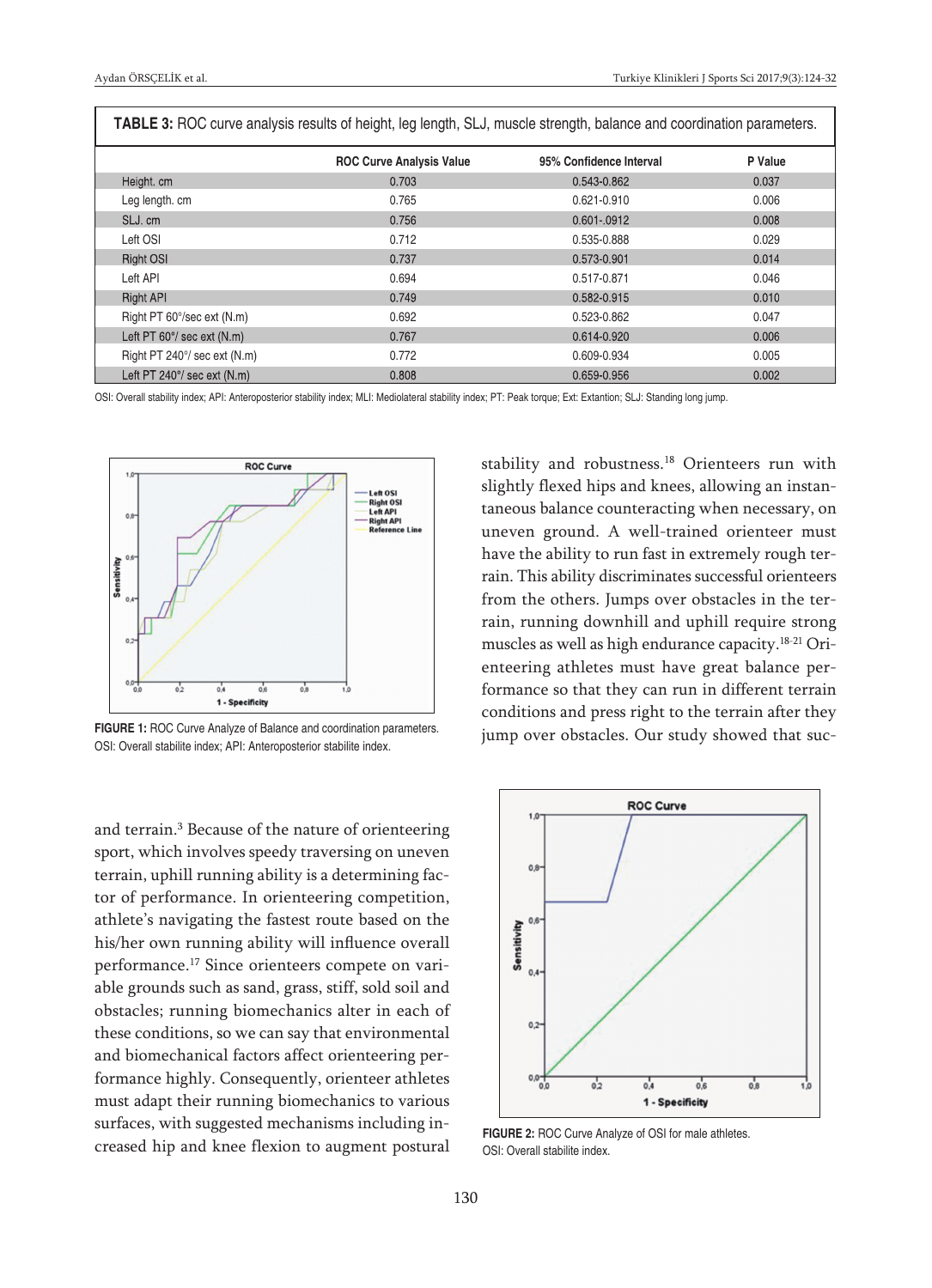| TABLE 3: ROC curve analysis results of height, leg length, SLJ, muscle strength, balance and coordination parameters. |                                 |                         |         |  |
|-----------------------------------------------------------------------------------------------------------------------|---------------------------------|-------------------------|---------|--|
|                                                                                                                       | <b>ROC Curve Analysis Value</b> | 95% Confidence Interval | P Value |  |
| Height. cm                                                                                                            | 0.703                           | 0.543-0.862             | 0.037   |  |
| Leg length. cm                                                                                                        | 0.765                           | $0.621 - 0.910$         | 0.006   |  |
| SLJ. cm                                                                                                               | 0.756                           | 0.601-.0912             | 0.008   |  |
| Left OSI                                                                                                              | 0.712                           | 0.535-0.888             | 0.029   |  |
| <b>Right OSI</b>                                                                                                      | 0.737                           | 0.573-0.901             | 0.014   |  |
| Left API                                                                                                              | 0.694                           | 0.517-0.871             | 0.046   |  |
| <b>Right API</b>                                                                                                      | 0.749                           | 0.582-0.915             | 0.010   |  |
| Right PT 60°/sec ext (N.m)                                                                                            | 0.692                           | 0.523-0.862             | 0.047   |  |
| Left PT 60°/ sec ext (N.m)                                                                                            | 0.767                           | 0.614-0.920             | 0.006   |  |
| Right PT 240°/ sec ext (N.m)                                                                                          | 0.772                           | 0.609-0.934             | 0.005   |  |
| Left PT $240^{\circ}$ / sec ext (N.m)                                                                                 | 0.808                           | 0.659-0.956             | 0.002   |  |

OSI: Overall stability index; API: Anteroposterior stability index; MLI: Mediolateral stability index; PT: Peak torque; Ext: Extantion; SLJ: Standing long jump.



**FIGURE 1:** ROC Curve Analyze of Balance and coordination parameters. OSI: Overall stabilite index; API: Anteroposterior stabilite index.

and terrain. <sup>3</sup> Because of the nature of orienteering sport, which involves speedy traversing on uneven terrain, uphill running ability is a determining factor of performance. In orienteering competition, athlete's navigating the fastest route based on the his/her own running ability will influence overall performance. <sup>17</sup> Since orienteers compete on variable grounds such as sand, grass, stiff, sold soil and obstacles; running biomechanics alter in each of these conditions, so we can say that environmental and biomechanical factors affect orienteering performance highly. Consequently, orienteer athletes must adapt their running biomechanics to various surfaces, with suggested mechanisms including increased hip and knee flexion to augment postural

stability and robustness. <sup>18</sup> Orienteers run with slightly flexed hips and knees, allowing an instantaneous balance counteracting when necessary, on uneven ground. A well-trained orienteer must have the ability to run fast in extremely rough terrain. This ability discriminates successful orienteers from the others. Jumps over obstacles in the terrain, running downhill and uphill require strong muscles as well as high endurance capacity. 18-21 Orienteering athletes must have great balance performance so that they can run in different terrain conditions and press right to the terrain after they jump over obstacles. Our study showed that suc-



**FIGURE 2:** ROC Curve Analyze of OSI for male athletes. OSI: Overall stabilite index.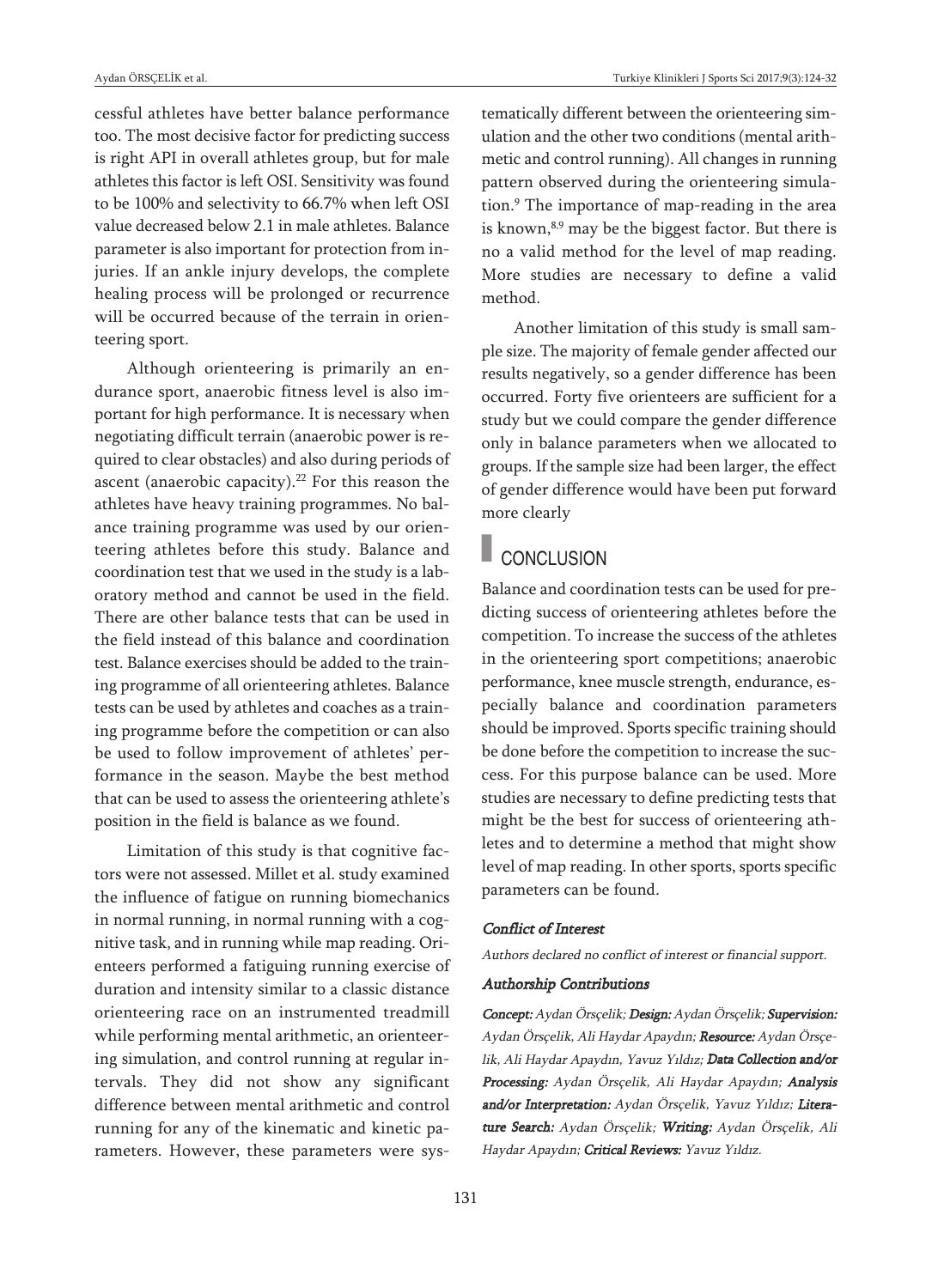cessful athletes have better balance performance too. The most decisive factor for predicting success is right API in overall athletes group, but for male athletes this factor is left OSI. Sensitivity was found to be 100% and selectivity to 66.7% when left OSI value decreased below 2.1 in male athletes. Balance parameter is also important for protection from injuries. If an ankle injury develops, the complete healing process will be prolonged or recurrence will be occurred because of the terrain in orienteering sport.

Although orienteering is primarily an endurance sport, anaerobic fitness level is also important for high performance. It is necessary when negotiating difficult terrain (anaerobic power is required to clear obstacles) and also during periods of ascent (anaerobic capacity). $^{22}$  For this reason the athletes have heavy training programmes. No balance training programme was used by our orienteering athletes before this study. Balance and coordination test that we used in the study is a laboratory method and cannot be used in the field. There are other balance tests that can be used in the field instead of this balance and coordination test. Balance exercises should be added to the training programme of all orienteering athletes. Balance tests can be used by athletes and coaches as a training programme before the competition or can also be used to follow improvement of athletes' performance in the season. Maybe the best method that can be used to assess the orienteering athlete's position in the field is balance as we found.

Limitation of this study is that cognitive factors were not assessed. Millet et al. study examined the influence of fatigue on running biomechanics in normal running, in normal running with a cognitive task, and in running while map reading. Orienteers performed a fatiguing running exercise of duration and intensity similar to a classic distance orienteering race on an instrumented treadmill while performing mental arithmetic, an orienteering simulation, and control running at regular intervals. They did not show any significant difference between mental arithmetic and control running for any of the kinematic and kinetic parameters. However, these parameters were systematically different between the orienteering simulation and the other two conditions (mental arithmetic and control running). All changes in running pattern observed during the orienteering simulation. <sup>9</sup> The importance of map-reading in the area is known,<sup>8,9</sup> may be the biggest factor. But there is no a valid method for the level of map reading. More studies are necessary to define a valid method.

Another limitation of this study is small sample size. The majority of female gender affected our results negatively, so a gender difference has been occurred. Forty five orienteers are sufficient for a study but we could compare the gender difference only in balance parameters when we allocated to groups. If the sample size had been larger, the effect of gender difference would have been put forward more clearly

# CONCLUSION

Balance and coordination tests can be used for predicting success of orienteering athletes before the competition. To increase the success of the athletes in the orienteering sport competitions; anaerobic performance, knee muscle strength, endurance, especially balance and coordination parameters should be improved. Sports specific training should be done before the competition to increase the success. For this purpose balance can be used. More studies are necessary to define predicting tests that might be the best for success of orienteering athletes and to determine a method that might show level of map reading. In other sports, sports specific parameters can be found.

#### Conflict of Interest

Authors declared no conflict of interest or financial support.

#### Authorship Contributions

Concept: Aydan Örsçelik; Design: Aydan Örsçelik; Supervision: Aydan Örsçelik, Ali Haydar Apaydın; Resource: Aydan Örsçelik, Ali Haydar Apaydın, Yavuz Yıldız; Data Collection and/or Processing: Aydan Örsçelik, Ali Haydar Apaydın; Analysis and/or Interpretation: Aydan Örsçelik, Yavuz Yıldız; Literature Search: Aydan Örsçelik; Writing: Aydan Örsçelik, Ali Haydar Apaydın; Critical Reviews: Yavuz Yıldız.